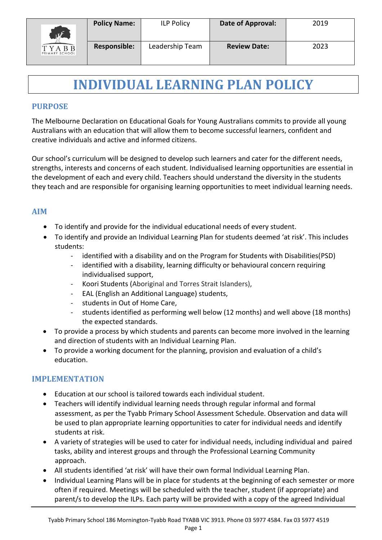

# **INDIVIDUAL LEARNING PLAN POLICY**

### **PURPOSE**

The Melbourne Declaration on Educational Goals for Young Australians commits to provide all young Australians with an education that will allow them to become successful learners, confident and creative individuals and active and informed citizens.

Our school's curriculum will be designed to develop such learners and cater for the different needs, strengths, interests and concerns of each student. Individualised learning opportunities are essential in the development of each and every child. Teachers should understand the diversity in the students they teach and are responsible for organising learning opportunities to meet individual learning needs.

### **AIM**

- To identify and provide for the individual educational needs of every student.
- To identify and provide an Individual Learning Plan for students deemed 'at risk'. This includes students:
	- identified with a disability and on the Program for Students with Disabilities(PSD)
	- identified with a disability, learning difficulty or behavioural concern requiring individualised support,
	- Koori Students (Aboriginal and Torres Strait Islanders),
	- EAL (English an Additional Language) students,
	- students in Out of Home Care,
	- students identified as performing well below (12 months) and well above (18 months) the expected standards.
- To provide a process by which students and parents can become more involved in the learning and direction of students with an Individual Learning Plan.
- To provide a working document for the planning, provision and evaluation of a child's education.

# **IMPLEMENTATION**

- Education at our school is tailored towards each individual student.
- Teachers will identify individual learning needs through regular informal and formal assessment, as per the Tyabb Primary School Assessment Schedule. Observation and data will be used to plan appropriate learning opportunities to cater for individual needs and identify students at risk.
- A variety of strategies will be used to cater for individual needs, including individual and paired tasks, ability and interest groups and through the Professional Learning Community approach.
- All students identified 'at risk' will have their own formal Individual Learning Plan.
- Individual Learning Plans will be in place for students at the beginning of each semester or more often if required. Meetings will be scheduled with the teacher, student (if appropriate) and parent/s to develop the ILPs. Each party will be provided with a copy of the agreed Individual